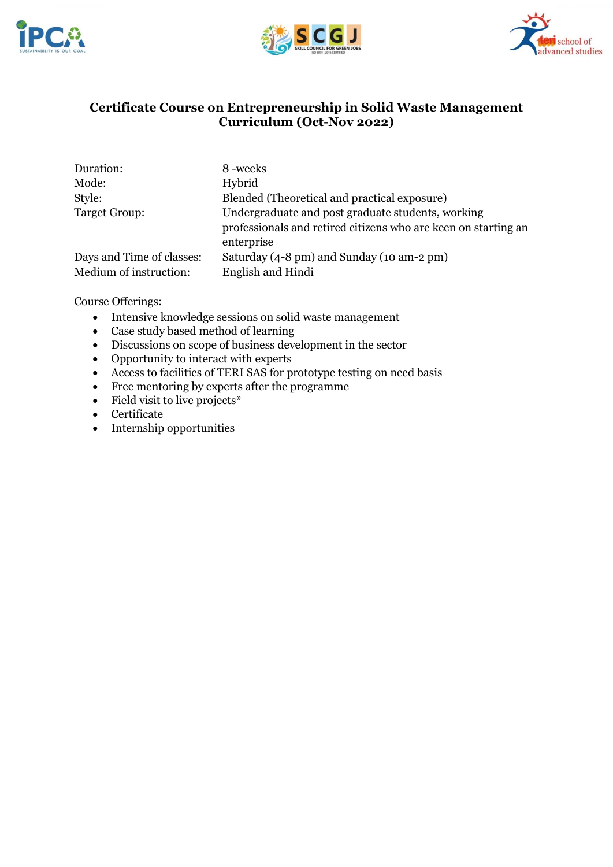





# **Certificate Course on Entrepreneurship in Solid Waste Management Curriculum (Oct-Nov 2022)**

| Duration:                 | 8-weeks                                                        |
|---------------------------|----------------------------------------------------------------|
| Mode:                     | Hybrid                                                         |
| Style:                    | Blended (Theoretical and practical exposure)                   |
| Target Group:             | Undergraduate and post graduate students, working              |
|                           | professionals and retired citizens who are keen on starting an |
|                           | enterprise                                                     |
| Days and Time of classes: | Saturday (4-8 pm) and Sunday (10 am-2 pm)                      |
| Medium of instruction:    | English and Hindi                                              |

Course Offerings:

- Intensive knowledge sessions on solid waste management
- Case study based method of learning
- Discussions on scope of business development in the sector
- Opportunity to interact with experts
- Access to facilities of TERI SAS for prototype testing on need basis
- Free mentoring by experts after the programme
- Field visit to live projects\*
- Certificate
- Internship opportunities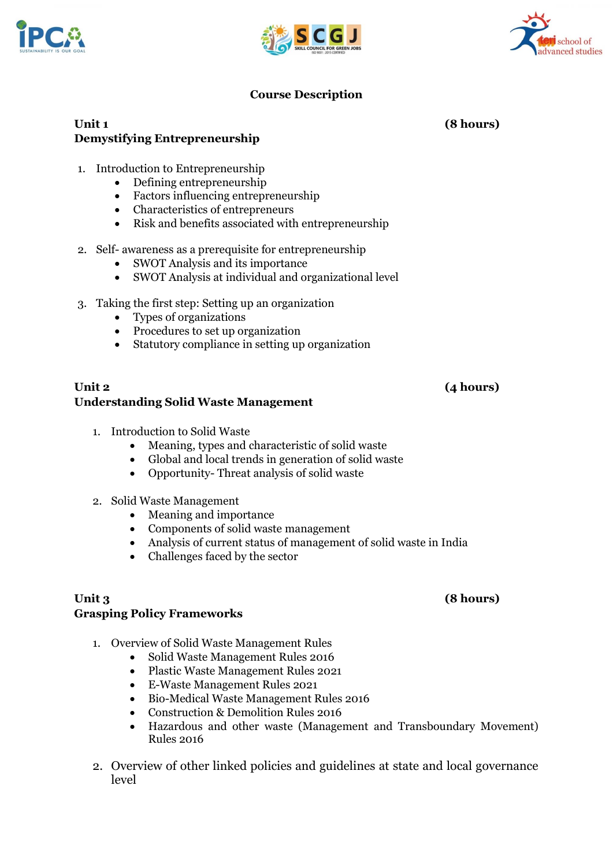

# **Unit 1 (8 hours) Demystifying Entrepreneurship**

- 1. Introduction to Entrepreneurship
	- Defining entrepreneurship
	- Factors influencing entrepreneurship
	- Characteristics of entrepreneurs
	- Risk and benefits associated with entrepreneurship
- 2. Self- awareness as a prerequisite for entrepreneurship
	- SWOT Analysis and its importance
	- SWOT Analysis at individual and organizational level
- 3. Taking the first step: Setting up an organization
	- Types of organizations
	- Procedures to set up organization
	- Statutory compliance in setting up organization

### **Unit 2 (4 hours) Understanding Solid Waste Management**

- 1. Introduction to Solid Waste
	- Meaning, types and characteristic of solid waste
	- Global and local trends in generation of solid waste
	- Opportunity- Threat analysis of solid waste
- 2. Solid Waste Management
	- Meaning and importance
	- Components of solid waste management
	- Analysis of current status of management of solid waste in India
	- Challenges faced by the sector

## **Unit 3 (8 hours) Grasping Policy Frameworks**

- 1. Overview of Solid Waste Management Rules
	- Solid Waste Management Rules 2016
	- Plastic Waste Management Rules 2021
	- E-Waste Management Rules 2021
	- Bio-Medical Waste Management Rules 2016
	- Construction & Demolition Rules 2016
	- Hazardous and other waste (Management and Transboundary Movement) Rules 2016
- 2. Overview of other linked policies and guidelines at state and local governance level



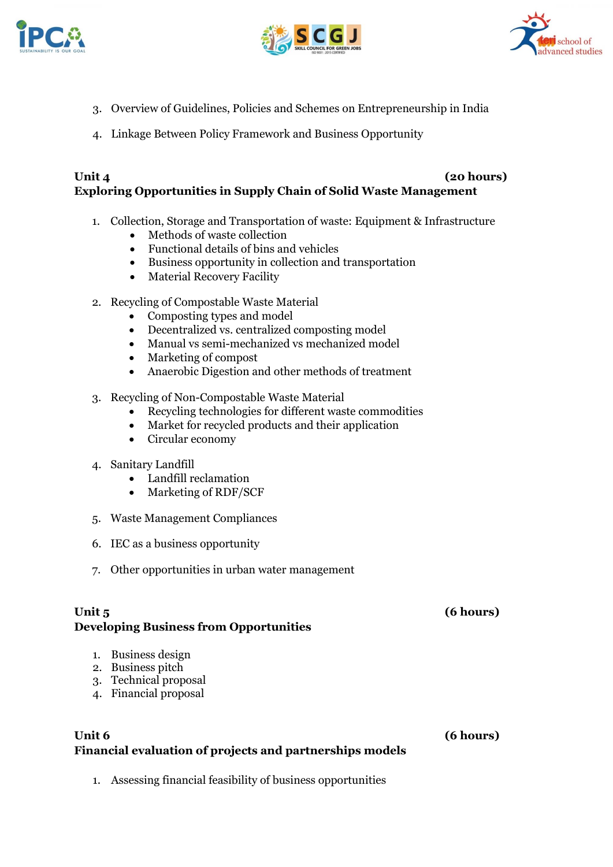





- 3. Overview of Guidelines, Policies and Schemes on Entrepreneurship in India
- 4. Linkage Between Policy Framework and Business Opportunity

# **Unit 4 (20 hours) Exploring Opportunities in Supply Chain of Solid Waste Management**

- 1. Collection, Storage and Transportation of waste: Equipment & Infrastructure
	- Methods of waste collection
	- Functional details of bins and vehicles
	- Business opportunity in collection and transportation
	- Material Recovery Facility
- 2. Recycling of Compostable Waste Material
	- Composting types and model
	- Decentralized vs. centralized composting model
	- Manual vs semi-mechanized vs mechanized model
	- Marketing of compost
	- Anaerobic Digestion and other methods of treatment
- 3. Recycling of Non-Compostable Waste Material
	- Recycling technologies for different waste commodities
	- Market for recycled products and their application
	- Circular economy
- 4. Sanitary Landfill
	- Landfill reclamation
	- Marketing of RDF/SCF
- 5. Waste Management Compliances
- 6. IEC as a business opportunity
- 7. Other opportunities in urban water management

# **Unit 5 (6 hours) Developing Business from Opportunities**

- 1. Business design
- 2. Business pitch
- 3. Technical proposal
- 4. Financial proposal

## **Unit 6 (6 hours) Financial evaluation of projects and partnerships models**

1. Assessing financial feasibility of business opportunities